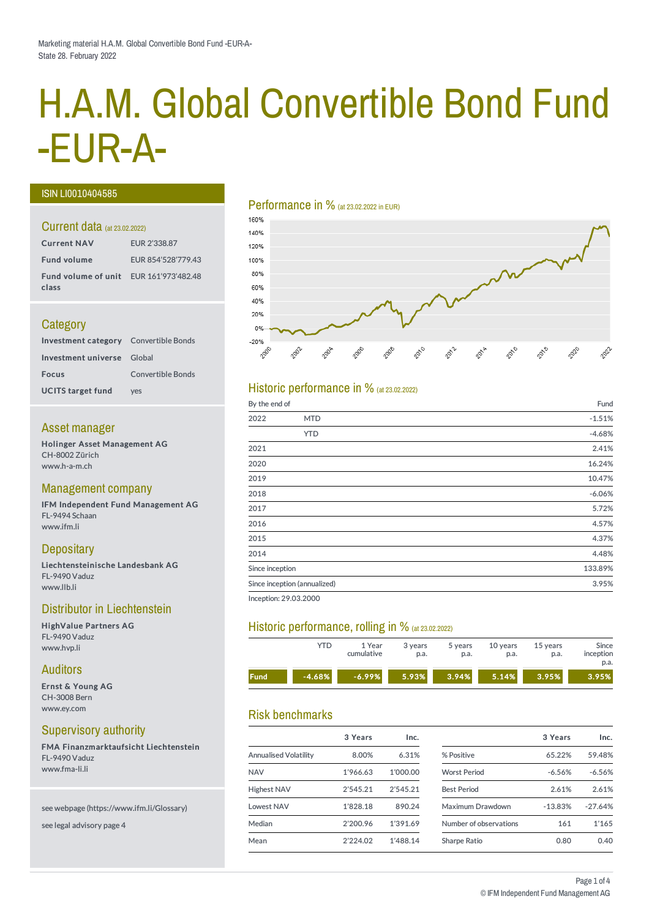# H.A.M. Global Convertible Bond Fund -EUR-A-

#### ISIN LI0010404585

#### Current data (at 23.02.2022)

| <b>Current NAV</b>                              | EUR 2'338.87       |
|-------------------------------------------------|--------------------|
| <b>Fund volume</b>                              | EUR 854'528'779.43 |
| Fund volume of unit EUR 161'973'482.48<br>class |                    |

#### **Category**

| <b>Investment category</b> Convertible Bonds |                          |
|----------------------------------------------|--------------------------|
| Investment universe Global                   |                          |
| <b>Focus</b>                                 | <b>Convertible Bonds</b> |
| <b>UCITS target fund</b>                     | <b>ves</b>               |

#### Asset manager

Holinger Asset Management AG CH-8002 Zürich www.h-a-m.ch

#### Management company

IFM Independent Fund Management AG FL-9494 Schaan www.ifm.li

#### **Depositary**

Liechtensteinische Landesbank AG FL-9490 Vaduz www.llb.li

#### Distributor in Liechtenstein

HighValue Partners AG FL-9490 Vaduz www.hvp.li

#### Auditors

Ernst & Young AG CH-3008 Bern www.ey.com

#### Supervisory authority

FMA Finanzmarktaufsicht Liechtenstein FL-9490 Vaduz www.fma-li.li

#### see webpage (https://www.ifm.li/Glossary)

see legal advisory page 4

#### Performance in % (at 23.02.2022 in EUR)



#### Historic performance in  $%$  (at 23.02.2022)

| By the end of   |                              | Fund     |
|-----------------|------------------------------|----------|
| 2022            | <b>MTD</b>                   | $-1.51%$ |
|                 | <b>YTD</b>                   | $-4.68%$ |
| 2021            |                              | 2.41%    |
| 2020            |                              | 16.24%   |
| 2019            |                              | 10.47%   |
| 2018            |                              | $-6.06%$ |
| 2017            |                              | 5.72%    |
| 2016            |                              | 4.57%    |
| 2015            |                              | 4.37%    |
| 2014            |                              | 4.48%    |
| Since inception |                              | 133.89%  |
|                 | Since inception (annualized) | 3.95%    |

Inception: 29.03.2000

#### Historic performance, rolling in % (at 23.02.2022)

|             | YTD      | 1 Year<br>cumulative | 3 years<br>p.a. | 5 years<br>p.a. | 10 years<br>p.a. | 15 years<br>p.a. | Since<br>inception<br>p.a. |
|-------------|----------|----------------------|-----------------|-----------------|------------------|------------------|----------------------------|
| <b>Fund</b> | $-4.68%$ | $-6.99%$             | 5.93%           | 3.94%           | 5.14%            | 3.95%            | 3.95%                      |

#### Risk benchmarks

|                       | 3 Years  | Inc.     |
|-----------------------|----------|----------|
| Annualised Volatility | 8.00%    | 6.31%    |
| NAV                   | 1'966.63 | 1'000.00 |
| <b>Highest NAV</b>    | 2'545.21 | 2'545.21 |
| Lowest NAV            | 1'828.18 | 890.24   |
| Median                | 2'200.96 | 1'391.69 |
| Mean                  | 2'224.02 | 1'488.14 |
|                       |          |          |

|                        | 3 Years   | Inc.      |
|------------------------|-----------|-----------|
| % Positive             | 65.22%    | 59.48%    |
| <b>Worst Period</b>    | $-6.56%$  | $-6.56%$  |
| <b>Best Period</b>     | 2.61%     | 2.61%     |
| Maximum Drawdown       | $-13.83%$ | $-27.64%$ |
| Number of observations | 161       | 1'165     |
| <b>Sharpe Ratio</b>    | 0.80      | 0.40      |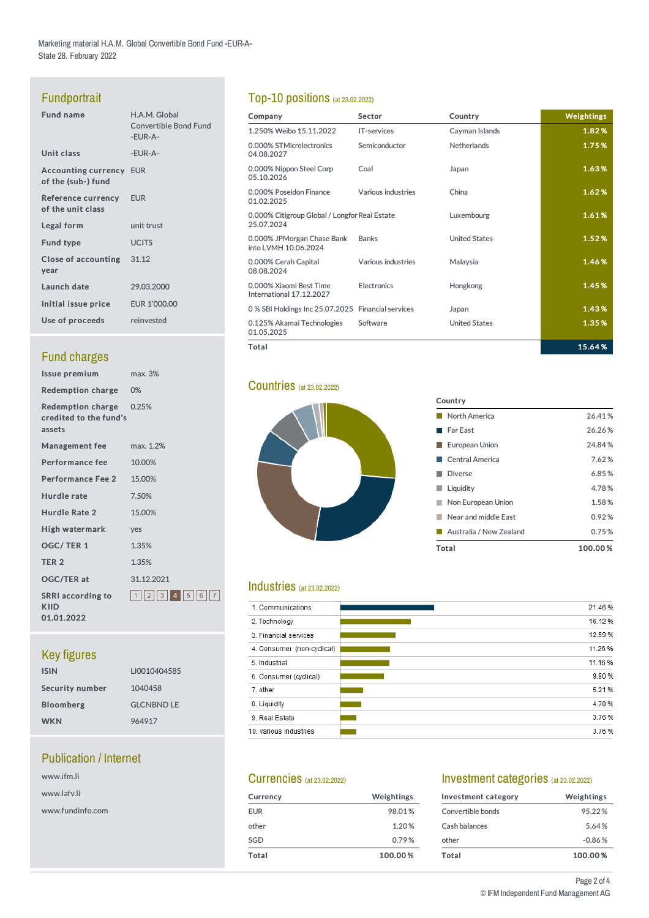# Fundportrait

| <b>Fund name</b>                                     | H.A.M. Global<br><b>Convertible Bond Fund</b><br>-EUR-A- |
|------------------------------------------------------|----------------------------------------------------------|
| Unit class                                           | -EUR-A-                                                  |
| <b>Accounting currency EUR</b><br>of the (sub-) fund |                                                          |
| Reference currency EUR<br>of the unit class          |                                                          |
| Legal form                                           | unit trust                                               |
| <b>Fund type</b>                                     | <b>UCITS</b>                                             |
| Close of accounting 31.12<br>year                    |                                                          |
| Launch date                                          | 29.03.2000                                               |
| Initial issue price                                  | EUR 1'000.00                                             |
| Use of proceeds                                      | reinvested                                               |
|                                                      |                                                          |

# Fund charges

| Issue premium                                         | max. 3%             |
|-------------------------------------------------------|---------------------|
| <b>Redemption charge</b>                              | $0\%$               |
| Redemption charge<br>credited to the fund's<br>assets | 0.25%               |
| <b>Management fee</b>                                 | max. 1.2%           |
| <b>Performance fee</b>                                | 10.00%              |
| <b>Performance Fee 2</b>                              | 15.00%              |
| Hurdle rate                                           | 7.50%               |
| Hurdle Rate 2                                         | 15.00%              |
| High watermark                                        | yes                 |
| <b>OGC/TER1</b>                                       | 1.35%               |
| TER <sub>2</sub>                                      | 1.35%               |
| <b>OGC/TER at</b>                                     | 31.12.2021          |
| <b>SRRI</b> according to<br>KIID<br>01.01.2022        | 1  2  3  4  5  6  7 |

# Key figures

| <b>ISIN</b>            | LI0010404585      |
|------------------------|-------------------|
| <b>Security number</b> | 1040458           |
| <b>Bloomberg</b>       | <b>GLCNBND LE</b> |
| <b>WKN</b>             | 964917            |
|                        |                   |

# Publication / Internet

| www.ifm.li       |  |
|------------------|--|
| www.lafv.li      |  |
| www.fundinfo.com |  |

# Top-10 positions (at 23.02.2022)

| Company                                                     | <b>Sector</b>      | Country              | Weightings |
|-------------------------------------------------------------|--------------------|----------------------|------------|
| 1.250% Weibo 15.11.2022                                     | <b>IT-services</b> | Cayman Islands       | 1.82%      |
| 0.000% STMicrelectronics<br>04.08.2027                      | Semiconductor      | Netherlands          | 1.75%      |
| 0.000% Nippon Steel Corp<br>05.10.2026                      | Coal               | Japan                | 1.63%      |
| 0.000% Poseidon Finance<br>01.02.2025                       | Various industries | China                | 1.62%      |
| 0.000% Citigroup Global / Longfor Real Estate<br>25.07.2024 |                    | Luxembourg           | 1.61%      |
| 0.000% JPMorgan Chase Bank<br>into LVMH 10.06.2024          | <b>Banks</b>       | <b>United States</b> | 1.52%      |
| 0.000% Cerah Capital<br>08.08.2024                          | Various industries | Malaysia             | 1.46%      |
| 0.000% Xiaomi Best Time<br>International 17.12.2027         | Electronics        | Hongkong             | 1.45%      |
| 0 % SBI Holdings Inc 25.07.2025 Financial services          |                    | Japan                | 1.43%      |
| 0.125% Akamai Technologies<br>01.05.2025                    | Software           | <b>United States</b> | 1.35%      |
| Total                                                       |                    |                      | 15.64%     |

#### **Countries** (at 23.02.2022)



# Industries (at 23.02.2022)

| 1. Communications          | 21.46%  |
|----------------------------|---------|
| 2. Technology              | 16.12%  |
| 3. Financial services      | 12.59 % |
| 4. Consumer (non-cyclical) | 11.26 % |
| 5. Industrial              | 11.16%  |
| 6. Consumer (cyclical)     | 9.90 %  |
| 7. other                   | 5.21%   |
| 8. Liquidity               | 4.78%   |
| 9. Real Estate             | 3.76%   |
| 10. Various industries     | 3.76%   |
|                            |         |

#### Currencies (at 23.02.2022)

| Currency   | Weightings |  |  |  |  |  |
|------------|------------|--|--|--|--|--|
| <b>EUR</b> | 98.01%     |  |  |  |  |  |
| other      | 1.20%      |  |  |  |  |  |
| SGD        | 0.79%      |  |  |  |  |  |
| Total      | 100.00%    |  |  |  |  |  |

# Investment categories (at 23.02.2022)

| Investment category | Weightings |  |  |  |  |  |
|---------------------|------------|--|--|--|--|--|
| Convertible bonds   | 95.22%     |  |  |  |  |  |
| Cash balances       | 5.64%      |  |  |  |  |  |
| other               | $-0.86%$   |  |  |  |  |  |
| Total               | 100.00%    |  |  |  |  |  |

#### Page 2 of 4 © IFMIndependentFund Management AG

| Liquidity<br>Non European Union | 4.78%<br>1.58% |
|---------------------------------|----------------|
| <b>Diverse</b>                  | 6.85%          |
| Central America                 | 7.62%          |
| European Union                  | 24.84%         |
| <b>Far East</b>                 | 26.26%         |
| North America                   | 26.41%         |

| <b>Diverse</b> |
|----------------|
| Liquidity      |
| Non Europear   |
| Near and mid   |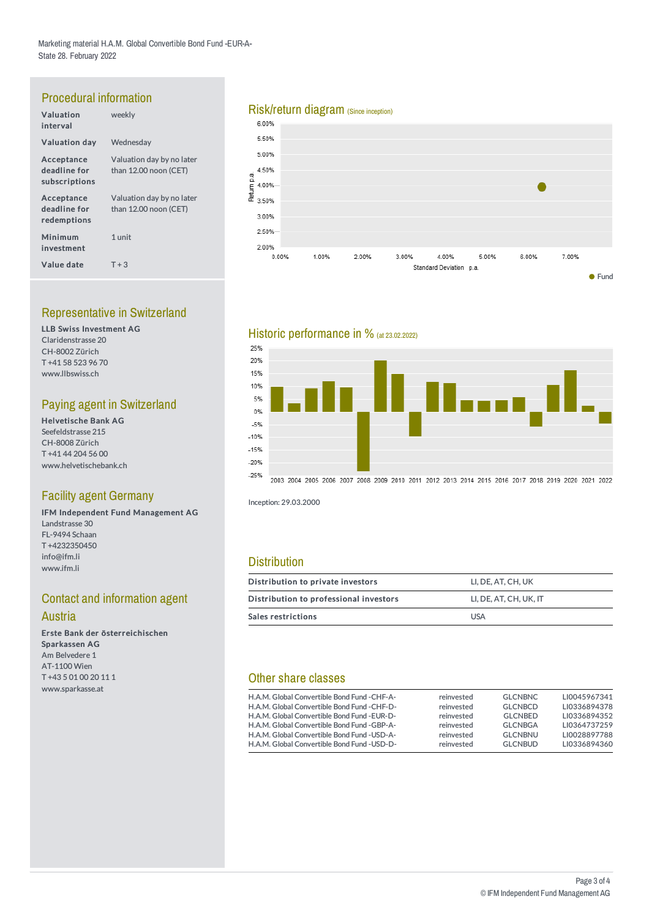# Procedural information

| Valuation<br>interval                       | weekly                                               |
|---------------------------------------------|------------------------------------------------------|
| <b>Valuation day</b>                        | Wednesday                                            |
| Acceptance<br>deadline for<br>subscriptions | Valuation day by no later<br>than $12.00$ noon (CET) |
| Acceptance<br>deadline for<br>redemptions   | Valuation day by no later<br>than 12.00 noon (CET)   |
| Minimum<br>investment                       | 1 unit                                               |
| Value date                                  | $T + 3$                                              |

### Representative in Switzerland

LLB Swiss Investment AG Claridenstrasse 20 CH-8002 Zürich T +41 58 523 96 70 www.llbswiss.ch

## Paying agent in Switzerland

Helvetische Bank AG Seefeldstrasse 215 CH-8008 Zürich T +41 44 204 56 00 www.helvetischebank.ch

#### Facility agent Germany

IFM Independent Fund Management AG Landstrasse 30 FL-9494 Schaan T +4232350450 info@ifm.li www.ifm.li

#### **Contact and information agent**

#### **Austria**

Erste Bank der österreichischen Sparkassen AG Am Belvedere 1 AT-1100 Wien T +43 5 01 00 20 11 1 www.sparkasse.at

# Risk/return diagram (Since inception)<br>6.00%



#### Historic performance in % (at 23.02.2022)



2003 2004 2005 2006 2007 2008 2009 2010 2011 2012 2013 2014 2015 2016 2017 2018 2019 2020 2021 2022

Inception: 29.03.2000

#### **Distribution**

| Distribution to private investors      | LI. DE. AT. CH. UK     |
|----------------------------------------|------------------------|
| Distribution to professional investors | LI. DE. AT. CH. UK. IT |
| Sales restrictions                     | <b>USA</b>             |

#### Other share classes

| H.A.M. Global Convertible Bond Fund - CHF-A- | reinvested | <b>GLCNBNC</b> | LI0045967341 |
|----------------------------------------------|------------|----------------|--------------|
| H.A.M. Global Convertible Bond Fund - CHF-D- | reinvested | <b>GLCNBCD</b> | LI0336894378 |
| H.A.M. Global Convertible Bond Fund - EUR-D- | reinvested | <b>GLCNBED</b> | LI0336894352 |
| H.A.M. Global Convertible Bond Fund -GBP-A-  | reinvested | <b>GLCNBGA</b> | LI0364737259 |
| H.A.M. Global Convertible Bond Fund - USD-A- | reinvested | <b>GLCNBNU</b> | LI0028897788 |
| H.A.M. Global Convertible Bond Fund - USD-D- | reinvested | <b>GLCNBUD</b> | LI0336894360 |